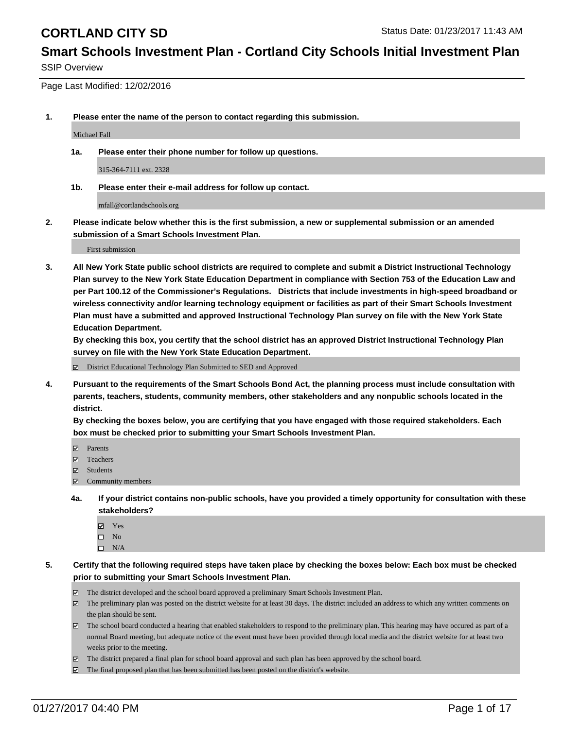### **Smart Schools Investment Plan - Cortland City Schools Initial Investment Plan**

SSIP Overview

Page Last Modified: 12/02/2016

**1. Please enter the name of the person to contact regarding this submission.**

Michael Fall

**1a. Please enter their phone number for follow up questions.**

315-364-7111 ext. 2328

**1b. Please enter their e-mail address for follow up contact.**

mfall@cortlandschools.org

**2. Please indicate below whether this is the first submission, a new or supplemental submission or an amended submission of a Smart Schools Investment Plan.**

First submission

**3. All New York State public school districts are required to complete and submit a District Instructional Technology Plan survey to the New York State Education Department in compliance with Section 753 of the Education Law and per Part 100.12 of the Commissioner's Regulations. Districts that include investments in high-speed broadband or wireless connectivity and/or learning technology equipment or facilities as part of their Smart Schools Investment Plan must have a submitted and approved Instructional Technology Plan survey on file with the New York State Education Department.** 

**By checking this box, you certify that the school district has an approved District Instructional Technology Plan survey on file with the New York State Education Department.**

District Educational Technology Plan Submitted to SED and Approved

**4. Pursuant to the requirements of the Smart Schools Bond Act, the planning process must include consultation with parents, teachers, students, community members, other stakeholders and any nonpublic schools located in the district.** 

**By checking the boxes below, you are certifying that you have engaged with those required stakeholders. Each box must be checked prior to submitting your Smart Schools Investment Plan.**

- **Parents**
- Teachers
- **☑** Students
- Community members
- **4a. If your district contains non-public schools, have you provided a timely opportunity for consultation with these stakeholders?**
	- Yes
	- $\square$  No
	- $\square$  N/A
- **5. Certify that the following required steps have taken place by checking the boxes below: Each box must be checked prior to submitting your Smart Schools Investment Plan.**
	- The district developed and the school board approved a preliminary Smart Schools Investment Plan.
	- The preliminary plan was posted on the district website for at least 30 days. The district included an address to which any written comments on the plan should be sent.
	- The school board conducted a hearing that enabled stakeholders to respond to the preliminary plan. This hearing may have occured as part of a normal Board meeting, but adequate notice of the event must have been provided through local media and the district website for at least two weeks prior to the meeting.
	- The district prepared a final plan for school board approval and such plan has been approved by the school board.
	- $\boxtimes$  The final proposed plan that has been submitted has been posted on the district's website.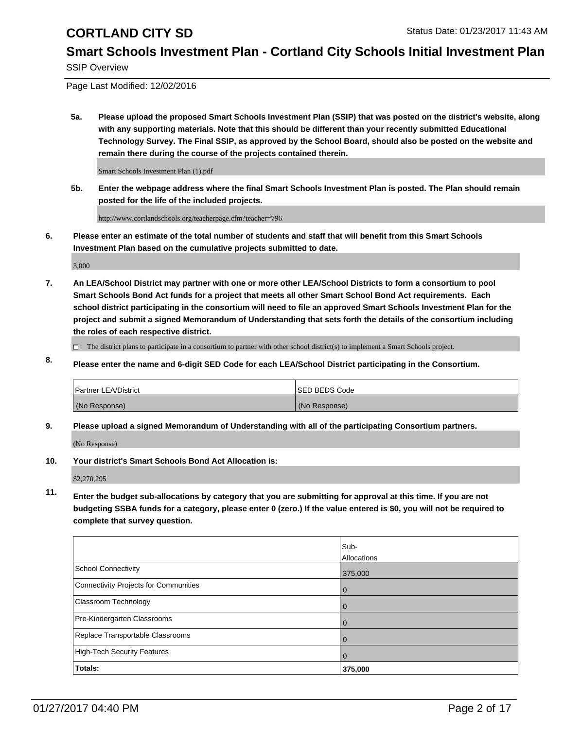#### **Smart Schools Investment Plan - Cortland City Schools Initial Investment Plan**

SSIP Overview

Page Last Modified: 12/02/2016

**5a. Please upload the proposed Smart Schools Investment Plan (SSIP) that was posted on the district's website, along with any supporting materials. Note that this should be different than your recently submitted Educational Technology Survey. The Final SSIP, as approved by the School Board, should also be posted on the website and remain there during the course of the projects contained therein.**

Smart Schools Investment Plan (1).pdf

**5b. Enter the webpage address where the final Smart Schools Investment Plan is posted. The Plan should remain posted for the life of the included projects.**

http://www.cortlandschools.org/teacherpage.cfm?teacher=796

**6. Please enter an estimate of the total number of students and staff that will benefit from this Smart Schools Investment Plan based on the cumulative projects submitted to date.**

3,000

- **7. An LEA/School District may partner with one or more other LEA/School Districts to form a consortium to pool Smart Schools Bond Act funds for a project that meets all other Smart School Bond Act requirements. Each school district participating in the consortium will need to file an approved Smart Schools Investment Plan for the project and submit a signed Memorandum of Understanding that sets forth the details of the consortium including the roles of each respective district.**
	- $\Box$  The district plans to participate in a consortium to partner with other school district(s) to implement a Smart Schools project.
- **8. Please enter the name and 6-digit SED Code for each LEA/School District participating in the Consortium.**

| <b>Partner LEA/District</b> | <b>ISED BEDS Code</b> |
|-----------------------------|-----------------------|
| (No Response)               | (No Response)         |

**9. Please upload a signed Memorandum of Understanding with all of the participating Consortium partners.**

(No Response)

**10. Your district's Smart Schools Bond Act Allocation is:**

\$2,270,295

**11. Enter the budget sub-allocations by category that you are submitting for approval at this time. If you are not budgeting SSBA funds for a category, please enter 0 (zero.) If the value entered is \$0, you will not be required to complete that survey question.**

|                                       | Sub-        |
|---------------------------------------|-------------|
|                                       | Allocations |
| School Connectivity                   | 375,000     |
| Connectivity Projects for Communities | O           |
| <b>Classroom Technology</b>           |             |
| Pre-Kindergarten Classrooms           |             |
| Replace Transportable Classrooms      |             |
| High-Tech Security Features           |             |
| Totals:                               | 375,000     |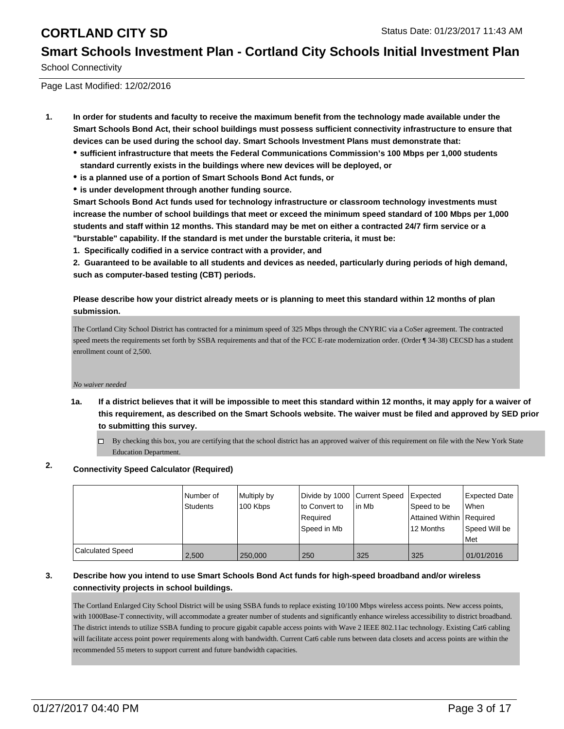### **Smart Schools Investment Plan - Cortland City Schools Initial Investment Plan**

School Connectivity

Page Last Modified: 12/02/2016

- **1. In order for students and faculty to receive the maximum benefit from the technology made available under the Smart Schools Bond Act, their school buildings must possess sufficient connectivity infrastructure to ensure that devices can be used during the school day. Smart Schools Investment Plans must demonstrate that:**
	- **sufficient infrastructure that meets the Federal Communications Commission's 100 Mbps per 1,000 students standard currently exists in the buildings where new devices will be deployed, or**
	- **is a planned use of a portion of Smart Schools Bond Act funds, or**
	- **is under development through another funding source.**

**Smart Schools Bond Act funds used for technology infrastructure or classroom technology investments must increase the number of school buildings that meet or exceed the minimum speed standard of 100 Mbps per 1,000 students and staff within 12 months. This standard may be met on either a contracted 24/7 firm service or a "burstable" capability. If the standard is met under the burstable criteria, it must be:**

**1. Specifically codified in a service contract with a provider, and**

**2. Guaranteed to be available to all students and devices as needed, particularly during periods of high demand, such as computer-based testing (CBT) periods.**

**Please describe how your district already meets or is planning to meet this standard within 12 months of plan submission.**

The Cortland City School District has contracted for a minimum speed of 325 Mbps through the CNYRIC via a CoSer agreement. The contracted speed meets the requirements set forth by SSBA requirements and that of the FCC E-rate modernization order. (Order ¶ 34-38) CECSD has a student enrollment count of 2,500.

*No waiver needed*

- **1a. If a district believes that it will be impossible to meet this standard within 12 months, it may apply for a waiver of this requirement, as described on the Smart Schools website. The waiver must be filed and approved by SED prior to submitting this survey.**
	- By checking this box, you are certifying that the school district has an approved waiver of this requirement on file with the New York State Education Department.

#### **2. Connectivity Speed Calculator (Required)**

|                  | Number of<br>Students | Multiply by<br>100 Kbps | Divide by 1000 Current Speed<br>lto Convert to<br>Required<br>Speed in Mb | lin Mb | Expected<br>Speed to be<br>Attained Within   Required<br>12 Months | Expected Date<br>lWhen<br>Speed Will be<br><b>Met</b> |
|------------------|-----------------------|-------------------------|---------------------------------------------------------------------------|--------|--------------------------------------------------------------------|-------------------------------------------------------|
| Calculated Speed | 2,500                 | 250,000                 | 250                                                                       | 325    | 325                                                                | 01/01/2016                                            |

#### **3. Describe how you intend to use Smart Schools Bond Act funds for high-speed broadband and/or wireless connectivity projects in school buildings.**

The Cortland Enlarged City School District will be using SSBA funds to replace existing 10/100 Mbps wireless access points. New access points, with 1000Base-T connectivity, will accommodate a greater number of students and significantly enhance wireless accessibility to district broadband. The district intends to utilize SSBA funding to procure gigabit capable access points with Wave 2 IEEE 802.11ac technology. Existing Cat6 cabling will facilitate access point power requirements along with bandwidth. Current Cat6 cable runs between data closets and access points are within the recommended 55 meters to support current and future bandwidth capacities.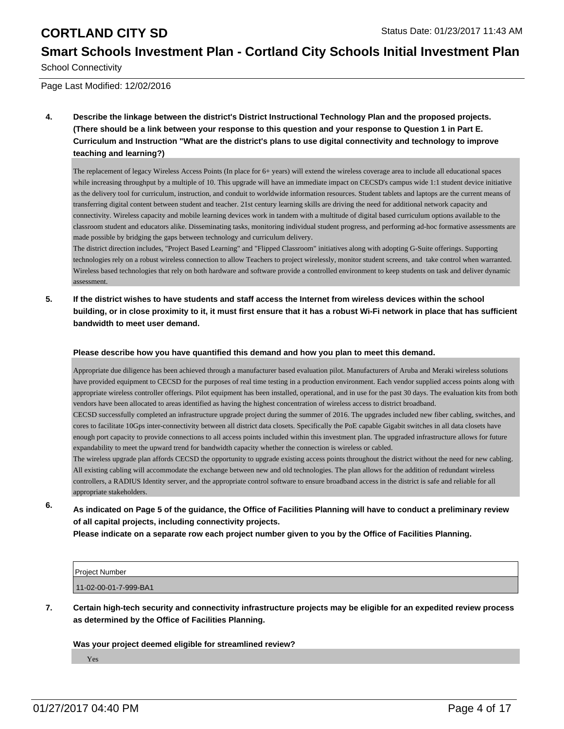### **Smart Schools Investment Plan - Cortland City Schools Initial Investment Plan**

School Connectivity

Page Last Modified: 12/02/2016

**4. Describe the linkage between the district's District Instructional Technology Plan and the proposed projects. (There should be a link between your response to this question and your response to Question 1 in Part E. Curriculum and Instruction "What are the district's plans to use digital connectivity and technology to improve teaching and learning?)**

The replacement of legacy Wireless Access Points (In place for 6+ years) will extend the wireless coverage area to include all educational spaces while increasing throughput by a multiple of 10. This upgrade will have an immediate impact on CECSD's campus wide 1:1 student device initiative as the delivery tool for curriculum, instruction, and conduit to worldwide information resources. Student tablets and laptops are the current means of transferring digital content between student and teacher. 21st century learning skills are driving the need for additional network capacity and connectivity. Wireless capacity and mobile learning devices work in tandem with a multitude of digital based curriculum options available to the classroom student and educators alike. Disseminating tasks, monitoring individual student progress, and performing ad-hoc formative assessments are made possible by bridging the gaps between technology and curriculum delivery.

The district direction includes, "Project Based Learning" and "Flipped Classroom" initiatives along with adopting G-Suite offerings. Supporting technologies rely on a robust wireless connection to allow Teachers to project wirelessly, monitor student screens, and take control when warranted. Wireless based technologies that rely on both hardware and software provide a controlled environment to keep students on task and deliver dynamic assessment.

**5. If the district wishes to have students and staff access the Internet from wireless devices within the school building, or in close proximity to it, it must first ensure that it has a robust Wi-Fi network in place that has sufficient bandwidth to meet user demand.**

#### **Please describe how you have quantified this demand and how you plan to meet this demand.**

Appropriate due diligence has been achieved through a manufacturer based evaluation pilot. Manufacturers of Aruba and Meraki wireless solutions have provided equipment to CECSD for the purposes of real time testing in a production environment. Each vendor supplied access points along with appropriate wireless controller offerings. Pilot equipment has been installed, operational, and in use for the past 30 days. The evaluation kits from both vendors have been allocated to areas identified as having the highest concentration of wireless access to district broadband.

CECSD successfully completed an infrastructure upgrade project during the summer of 2016. The upgrades included new fiber cabling, switches, and cores to facilitate 10Gps inter-connectivity between all district data closets. Specifically the PoE capable Gigabit switches in all data closets have enough port capacity to provide connections to all access points included within this investment plan. The upgraded infrastructure allows for future expandability to meet the upward trend for bandwidth capacity whether the connection is wireless or cabled.

The wireless upgrade plan affords CECSD the opportunity to upgrade existing access points throughout the district without the need for new cabling. All existing cabling will accommodate the exchange between new and old technologies. The plan allows for the addition of redundant wireless controllers, a RADIUS Identity server, and the appropriate control software to ensure broadband access in the district is safe and reliable for all appropriate stakeholders.

**6. As indicated on Page 5 of the guidance, the Office of Facilities Planning will have to conduct a preliminary review of all capital projects, including connectivity projects.**

**Please indicate on a separate row each project number given to you by the Office of Facilities Planning.**

Project Number

11-02-00-01-7-999-BA1

**7. Certain high-tech security and connectivity infrastructure projects may be eligible for an expedited review process as determined by the Office of Facilities Planning.**

#### **Was your project deemed eligible for streamlined review?**

Yes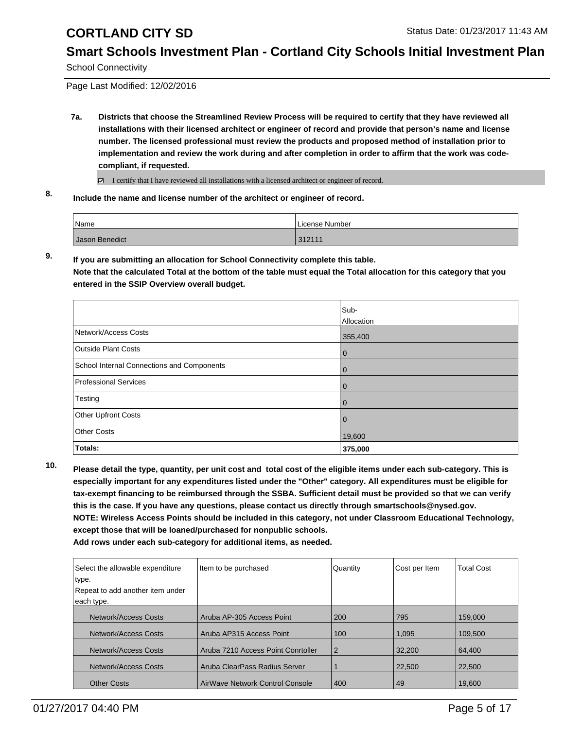#### **Smart Schools Investment Plan - Cortland City Schools Initial Investment Plan**

School Connectivity

Page Last Modified: 12/02/2016

**7a. Districts that choose the Streamlined Review Process will be required to certify that they have reviewed all installations with their licensed architect or engineer of record and provide that person's name and license number. The licensed professional must review the products and proposed method of installation prior to implementation and review the work during and after completion in order to affirm that the work was codecompliant, if requested.**

 $\boxtimes$  I certify that I have reviewed all installations with a licensed architect or engineer of record.

**8. Include the name and license number of the architect or engineer of record.**

| <sup>1</sup> Name | License Number |  |
|-------------------|----------------|--|
| Jason Benedict    | 312111         |  |

**9. If you are submitting an allocation for School Connectivity complete this table. Note that the calculated Total at the bottom of the table must equal the Total allocation for this category that you entered in the SSIP Overview overall budget.** 

|                                            | Sub-        |
|--------------------------------------------|-------------|
|                                            | Allocation  |
| Network/Access Costs                       | 355,400     |
| <b>Outside Plant Costs</b>                 | 0           |
| School Internal Connections and Components | 0           |
| <b>Professional Services</b>               | 0           |
| Testing                                    | $\mathbf 0$ |
| <b>Other Upfront Costs</b>                 | 0           |
| <b>Other Costs</b>                         | 19,600      |
| Totals:                                    | 375,000     |

**10. Please detail the type, quantity, per unit cost and total cost of the eligible items under each sub-category. This is especially important for any expenditures listed under the "Other" category. All expenditures must be eligible for tax-exempt financing to be reimbursed through the SSBA. Sufficient detail must be provided so that we can verify this is the case. If you have any questions, please contact us directly through smartschools@nysed.gov. NOTE: Wireless Access Points should be included in this category, not under Classroom Educational Technology, except those that will be loaned/purchased for nonpublic schools.**

| Select the allowable expenditure<br>type. | Item to be purchased               | Quantity | Cost per Item | <b>Total Cost</b> |
|-------------------------------------------|------------------------------------|----------|---------------|-------------------|
| Repeat to add another item under          |                                    |          |               |                   |
| each type.                                |                                    |          |               |                   |
| Network/Access Costs                      | Aruba AP-305 Access Point          | 200      | 795           | 159,000           |
| Network/Access Costs                      | Aruba AP315 Access Point           | 100      | 1.095         | 109.500           |
| Network/Access Costs                      | Aruba 7210 Access Point Conrtoller | 2        | 32,200        | 64,400            |
| Network/Access Costs                      | Aruba ClearPass Radius Server      |          | 22,500        | 22,500            |
| <b>Other Costs</b>                        | AirWave Network Control Console    | 400      | 49            | 19,600            |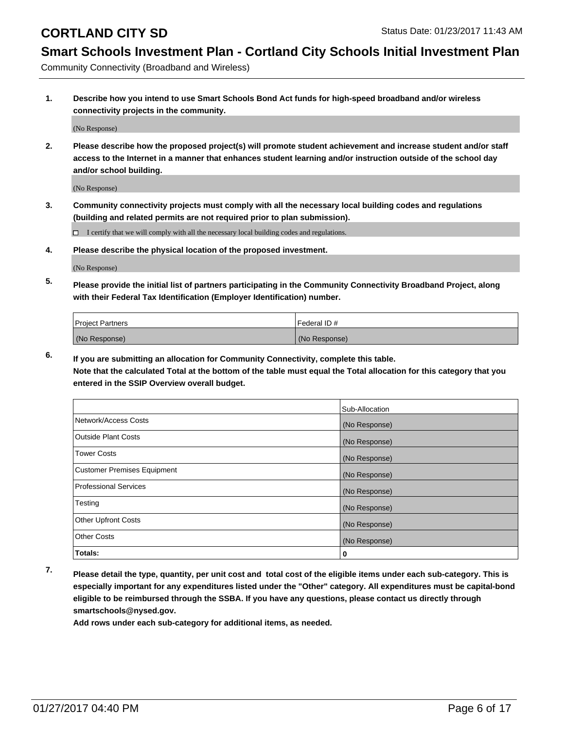#### **Smart Schools Investment Plan - Cortland City Schools Initial Investment Plan**

Community Connectivity (Broadband and Wireless)

**1. Describe how you intend to use Smart Schools Bond Act funds for high-speed broadband and/or wireless connectivity projects in the community.**

(No Response)

**2. Please describe how the proposed project(s) will promote student achievement and increase student and/or staff access to the Internet in a manner that enhances student learning and/or instruction outside of the school day and/or school building.**

(No Response)

**3. Community connectivity projects must comply with all the necessary local building codes and regulations (building and related permits are not required prior to plan submission).**

 $\Box$  I certify that we will comply with all the necessary local building codes and regulations.

**4. Please describe the physical location of the proposed investment.**

(No Response)

**5. Please provide the initial list of partners participating in the Community Connectivity Broadband Project, along with their Federal Tax Identification (Employer Identification) number.**

| <b>Project Partners</b> | Federal ID#   |
|-------------------------|---------------|
| (No Response)           | (No Response) |

**6. If you are submitting an allocation for Community Connectivity, complete this table.**

**Note that the calculated Total at the bottom of the table must equal the Total allocation for this category that you entered in the SSIP Overview overall budget.**

|                                    | Sub-Allocation |
|------------------------------------|----------------|
| Network/Access Costs               | (No Response)  |
| <b>Outside Plant Costs</b>         | (No Response)  |
| <b>Tower Costs</b>                 | (No Response)  |
| <b>Customer Premises Equipment</b> | (No Response)  |
| Professional Services              | (No Response)  |
| Testing                            | (No Response)  |
| <b>Other Upfront Costs</b>         | (No Response)  |
| <b>Other Costs</b>                 | (No Response)  |
| Totals:                            | 0              |

**7. Please detail the type, quantity, per unit cost and total cost of the eligible items under each sub-category. This is especially important for any expenditures listed under the "Other" category. All expenditures must be capital-bond eligible to be reimbursed through the SSBA. If you have any questions, please contact us directly through smartschools@nysed.gov.**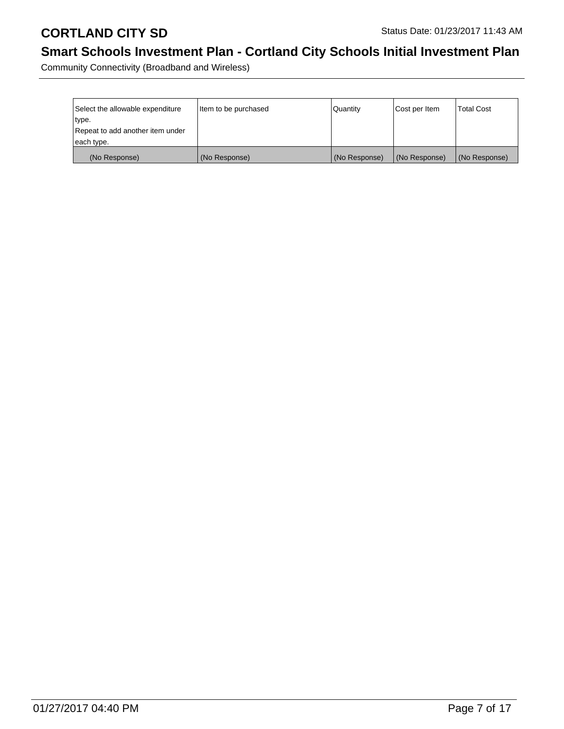## **Smart Schools Investment Plan - Cortland City Schools Initial Investment Plan**

Community Connectivity (Broadband and Wireless)

| Select the allowable expenditure | Item to be purchased | Quantity      | Cost per Item | <b>Total Cost</b> |
|----------------------------------|----------------------|---------------|---------------|-------------------|
| ∣type.                           |                      |               |               |                   |
| Repeat to add another item under |                      |               |               |                   |
| each type.                       |                      |               |               |                   |
| (No Response)                    | (No Response)        | (No Response) | (No Response) | (No Response)     |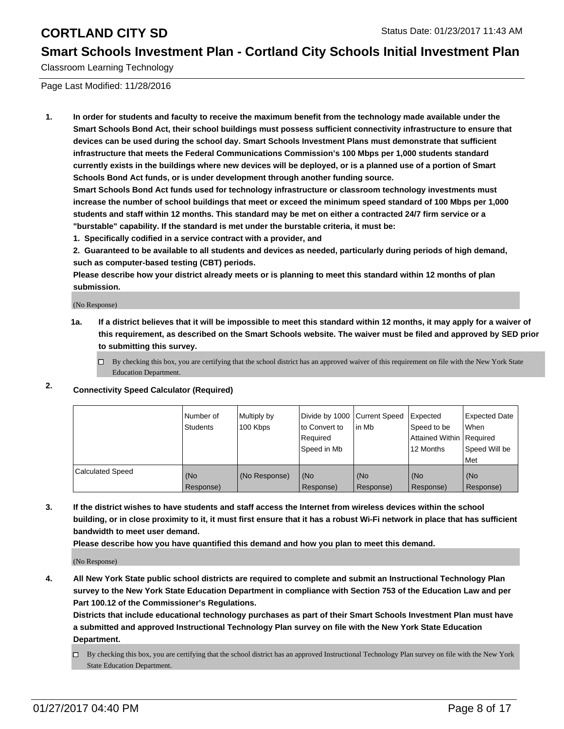#### **Smart Schools Investment Plan - Cortland City Schools Initial Investment Plan**

Classroom Learning Technology

Page Last Modified: 11/28/2016

**1. In order for students and faculty to receive the maximum benefit from the technology made available under the Smart Schools Bond Act, their school buildings must possess sufficient connectivity infrastructure to ensure that devices can be used during the school day. Smart Schools Investment Plans must demonstrate that sufficient infrastructure that meets the Federal Communications Commission's 100 Mbps per 1,000 students standard currently exists in the buildings where new devices will be deployed, or is a planned use of a portion of Smart Schools Bond Act funds, or is under development through another funding source.**

**Smart Schools Bond Act funds used for technology infrastructure or classroom technology investments must increase the number of school buildings that meet or exceed the minimum speed standard of 100 Mbps per 1,000 students and staff within 12 months. This standard may be met on either a contracted 24/7 firm service or a "burstable" capability. If the standard is met under the burstable criteria, it must be:**

**1. Specifically codified in a service contract with a provider, and**

**2. Guaranteed to be available to all students and devices as needed, particularly during periods of high demand, such as computer-based testing (CBT) periods.**

**Please describe how your district already meets or is planning to meet this standard within 12 months of plan submission.**

(No Response)

- **1a. If a district believes that it will be impossible to meet this standard within 12 months, it may apply for a waiver of this requirement, as described on the Smart Schools website. The waiver must be filed and approved by SED prior to submitting this survey.**
	- $\Box$  By checking this box, you are certifying that the school district has an approved waiver of this requirement on file with the New York State Education Department.
- **2. Connectivity Speed Calculator (Required)**

|                         | Number of<br>Students | Multiply by<br>100 Kbps | Divide by 1000 Current Speed<br>to Convert to<br>Reauired<br>Speed in Mb | lin Mb           | <b>Expected</b><br>Speed to be<br>Attained Within Required<br>12 Months | <b>Expected Date</b><br>l When<br>Speed Will be<br>l Met |
|-------------------------|-----------------------|-------------------------|--------------------------------------------------------------------------|------------------|-------------------------------------------------------------------------|----------------------------------------------------------|
| <b>Calculated Speed</b> | (No<br>Response)      | (No Response)           | (No<br>Response)                                                         | (No<br>Response) | (No<br>Response)                                                        | l (No<br>Response)                                       |

**3. If the district wishes to have students and staff access the Internet from wireless devices within the school building, or in close proximity to it, it must first ensure that it has a robust Wi-Fi network in place that has sufficient bandwidth to meet user demand.**

**Please describe how you have quantified this demand and how you plan to meet this demand.**

(No Response)

**4. All New York State public school districts are required to complete and submit an Instructional Technology Plan survey to the New York State Education Department in compliance with Section 753 of the Education Law and per Part 100.12 of the Commissioner's Regulations.**

**Districts that include educational technology purchases as part of their Smart Schools Investment Plan must have a submitted and approved Instructional Technology Plan survey on file with the New York State Education Department.**

By checking this box, you are certifying that the school district has an approved Instructional Technology Plan survey on file with the New York State Education Department.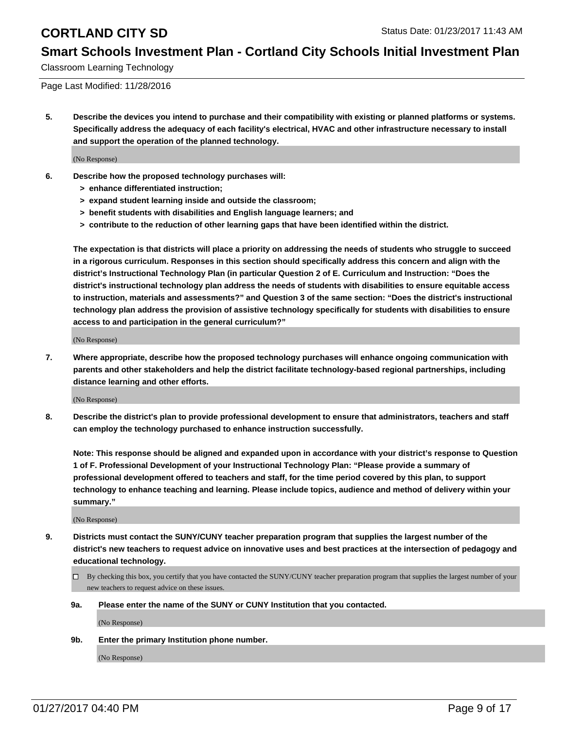#### **Smart Schools Investment Plan - Cortland City Schools Initial Investment Plan**

Classroom Learning Technology

Page Last Modified: 11/28/2016

**5. Describe the devices you intend to purchase and their compatibility with existing or planned platforms or systems. Specifically address the adequacy of each facility's electrical, HVAC and other infrastructure necessary to install and support the operation of the planned technology.**

(No Response)

- **6. Describe how the proposed technology purchases will:**
	- **> enhance differentiated instruction;**
	- **> expand student learning inside and outside the classroom;**
	- **> benefit students with disabilities and English language learners; and**
	- **> contribute to the reduction of other learning gaps that have been identified within the district.**

**The expectation is that districts will place a priority on addressing the needs of students who struggle to succeed in a rigorous curriculum. Responses in this section should specifically address this concern and align with the district's Instructional Technology Plan (in particular Question 2 of E. Curriculum and Instruction: "Does the district's instructional technology plan address the needs of students with disabilities to ensure equitable access to instruction, materials and assessments?" and Question 3 of the same section: "Does the district's instructional technology plan address the provision of assistive technology specifically for students with disabilities to ensure access to and participation in the general curriculum?"**

(No Response)

**7. Where appropriate, describe how the proposed technology purchases will enhance ongoing communication with parents and other stakeholders and help the district facilitate technology-based regional partnerships, including distance learning and other efforts.**

(No Response)

**8. Describe the district's plan to provide professional development to ensure that administrators, teachers and staff can employ the technology purchased to enhance instruction successfully.**

**Note: This response should be aligned and expanded upon in accordance with your district's response to Question 1 of F. Professional Development of your Instructional Technology Plan: "Please provide a summary of professional development offered to teachers and staff, for the time period covered by this plan, to support technology to enhance teaching and learning. Please include topics, audience and method of delivery within your summary."**

(No Response)

- **9. Districts must contact the SUNY/CUNY teacher preparation program that supplies the largest number of the district's new teachers to request advice on innovative uses and best practices at the intersection of pedagogy and educational technology.**
	- By checking this box, you certify that you have contacted the SUNY/CUNY teacher preparation program that supplies the largest number of your new teachers to request advice on these issues.
	- **9a. Please enter the name of the SUNY or CUNY Institution that you contacted.**

(No Response)

**9b. Enter the primary Institution phone number.**

(No Response)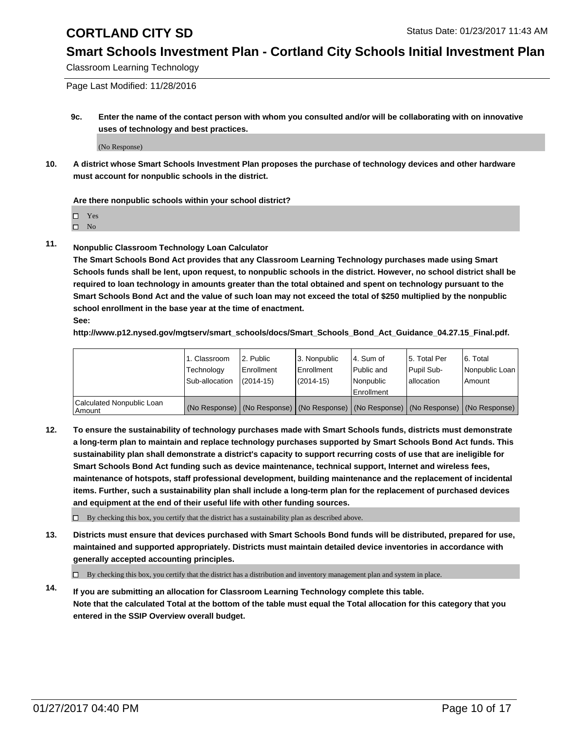#### **Smart Schools Investment Plan - Cortland City Schools Initial Investment Plan**

Classroom Learning Technology

Page Last Modified: 11/28/2016

**9c. Enter the name of the contact person with whom you consulted and/or will be collaborating with on innovative uses of technology and best practices.**

(No Response)

**10. A district whose Smart Schools Investment Plan proposes the purchase of technology devices and other hardware must account for nonpublic schools in the district.**

**Are there nonpublic schools within your school district?**

Yes

 $\square$  No

**11. Nonpublic Classroom Technology Loan Calculator**

**The Smart Schools Bond Act provides that any Classroom Learning Technology purchases made using Smart Schools funds shall be lent, upon request, to nonpublic schools in the district. However, no school district shall be required to loan technology in amounts greater than the total obtained and spent on technology pursuant to the Smart Schools Bond Act and the value of such loan may not exceed the total of \$250 multiplied by the nonpublic school enrollment in the base year at the time of enactment.**

**See:**

**http://www.p12.nysed.gov/mgtserv/smart\_schools/docs/Smart\_Schools\_Bond\_Act\_Guidance\_04.27.15\_Final.pdf.**

|                                       | 1. Classroom<br>Technology<br>Sub-allocation | l 2. Public<br>Enrollment<br>$(2014 - 15)$ | 3. Nonpublic<br>Enrollment<br>$(2014 - 15)$                                                   | l 4. Sum of<br>l Public and<br>l Nonpublic<br>Enrollment | 5. Total Per<br>Pupil Sub-<br>lallocation | 6. Total<br>Nonpublic Loan<br>Amount |
|---------------------------------------|----------------------------------------------|--------------------------------------------|-----------------------------------------------------------------------------------------------|----------------------------------------------------------|-------------------------------------------|--------------------------------------|
| Calculated Nonpublic Loan<br>  Amount |                                              |                                            | (No Response)   (No Response)   (No Response)   (No Response)   (No Response)   (No Response) |                                                          |                                           |                                      |

**12. To ensure the sustainability of technology purchases made with Smart Schools funds, districts must demonstrate a long-term plan to maintain and replace technology purchases supported by Smart Schools Bond Act funds. This sustainability plan shall demonstrate a district's capacity to support recurring costs of use that are ineligible for Smart Schools Bond Act funding such as device maintenance, technical support, Internet and wireless fees, maintenance of hotspots, staff professional development, building maintenance and the replacement of incidental items. Further, such a sustainability plan shall include a long-term plan for the replacement of purchased devices and equipment at the end of their useful life with other funding sources.**

 $\Box$  By checking this box, you certify that the district has a sustainability plan as described above.

**13. Districts must ensure that devices purchased with Smart Schools Bond funds will be distributed, prepared for use, maintained and supported appropriately. Districts must maintain detailed device inventories in accordance with generally accepted accounting principles.**

 $\Box$  By checking this box, you certify that the district has a distribution and inventory management plan and system in place.

**14. If you are submitting an allocation for Classroom Learning Technology complete this table. Note that the calculated Total at the bottom of the table must equal the Total allocation for this category that you entered in the SSIP Overview overall budget.**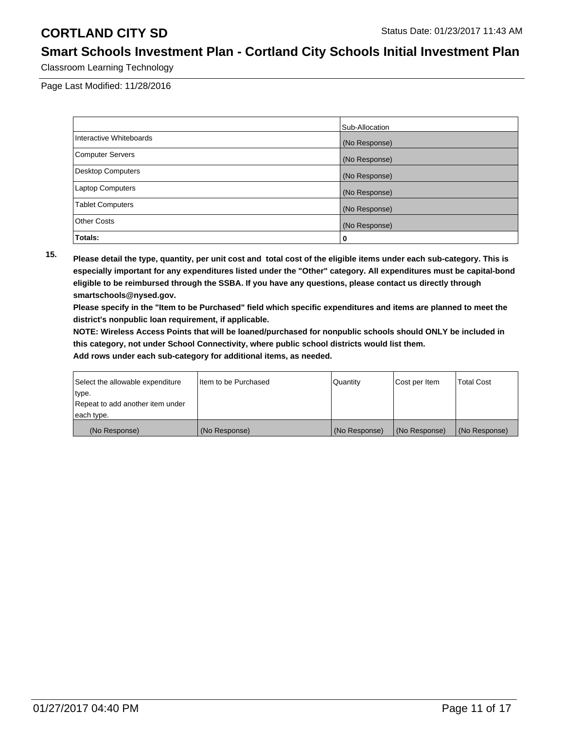#### **Smart Schools Investment Plan - Cortland City Schools Initial Investment Plan**

Classroom Learning Technology

Page Last Modified: 11/28/2016

|                          | Sub-Allocation |
|--------------------------|----------------|
| Interactive Whiteboards  | (No Response)  |
| <b>Computer Servers</b>  | (No Response)  |
| <b>Desktop Computers</b> | (No Response)  |
| <b>Laptop Computers</b>  | (No Response)  |
| <b>Tablet Computers</b>  | (No Response)  |
| <b>Other Costs</b>       | (No Response)  |
| Totals:                  | 0              |

**15. Please detail the type, quantity, per unit cost and total cost of the eligible items under each sub-category. This is especially important for any expenditures listed under the "Other" category. All expenditures must be capital-bond eligible to be reimbursed through the SSBA. If you have any questions, please contact us directly through smartschools@nysed.gov.**

**Please specify in the "Item to be Purchased" field which specific expenditures and items are planned to meet the district's nonpublic loan requirement, if applicable.**

**NOTE: Wireless Access Points that will be loaned/purchased for nonpublic schools should ONLY be included in this category, not under School Connectivity, where public school districts would list them.**

| Select the allowable expenditure | I Item to be Purchased | Quantity        | Cost per Item | <b>Total Cost</b> |
|----------------------------------|------------------------|-----------------|---------------|-------------------|
| ∣type.                           |                        |                 |               |                   |
| Repeat to add another item under |                        |                 |               |                   |
| each type.                       |                        |                 |               |                   |
| (No Response)                    | (No Response)          | l (No Response) | (No Response) | (No Response)     |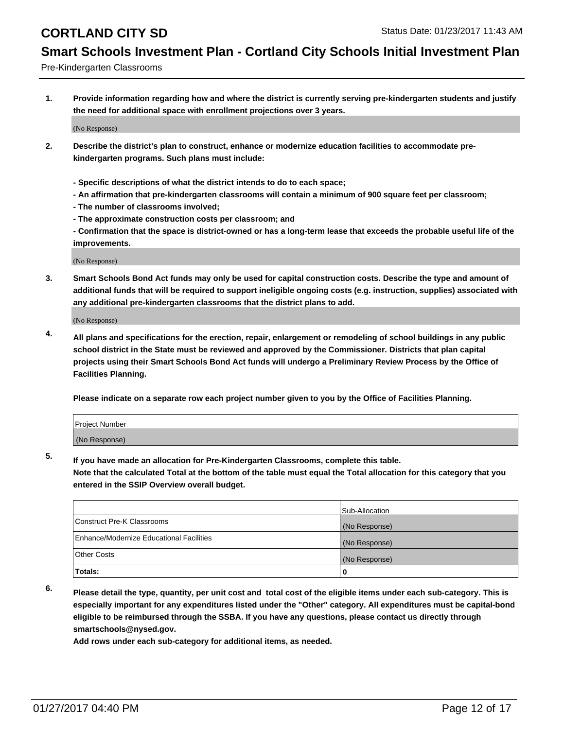#### **Smart Schools Investment Plan - Cortland City Schools Initial Investment Plan**

Pre-Kindergarten Classrooms

**1. Provide information regarding how and where the district is currently serving pre-kindergarten students and justify the need for additional space with enrollment projections over 3 years.**

(No Response)

- **2. Describe the district's plan to construct, enhance or modernize education facilities to accommodate prekindergarten programs. Such plans must include:**
	- **Specific descriptions of what the district intends to do to each space;**
	- **An affirmation that pre-kindergarten classrooms will contain a minimum of 900 square feet per classroom;**
	- **The number of classrooms involved;**
	- **The approximate construction costs per classroom; and**
	- **Confirmation that the space is district-owned or has a long-term lease that exceeds the probable useful life of the improvements.**

(No Response)

**3. Smart Schools Bond Act funds may only be used for capital construction costs. Describe the type and amount of additional funds that will be required to support ineligible ongoing costs (e.g. instruction, supplies) associated with any additional pre-kindergarten classrooms that the district plans to add.**

(No Response)

**4. All plans and specifications for the erection, repair, enlargement or remodeling of school buildings in any public school district in the State must be reviewed and approved by the Commissioner. Districts that plan capital projects using their Smart Schools Bond Act funds will undergo a Preliminary Review Process by the Office of Facilities Planning.**

**Please indicate on a separate row each project number given to you by the Office of Facilities Planning.**

| <b>Project Number</b> |  |
|-----------------------|--|
| (No Response)         |  |

**5. If you have made an allocation for Pre-Kindergarten Classrooms, complete this table.**

**Note that the calculated Total at the bottom of the table must equal the Total allocation for this category that you entered in the SSIP Overview overall budget.**

|                                          | Sub-Allocation |
|------------------------------------------|----------------|
| Construct Pre-K Classrooms               | (No Response)  |
| Enhance/Modernize Educational Facilities | (No Response)  |
| Other Costs                              | (No Response)  |
| Totals:                                  | $\mathbf{0}$   |

**6. Please detail the type, quantity, per unit cost and total cost of the eligible items under each sub-category. This is especially important for any expenditures listed under the "Other" category. All expenditures must be capital-bond eligible to be reimbursed through the SSBA. If you have any questions, please contact us directly through smartschools@nysed.gov.**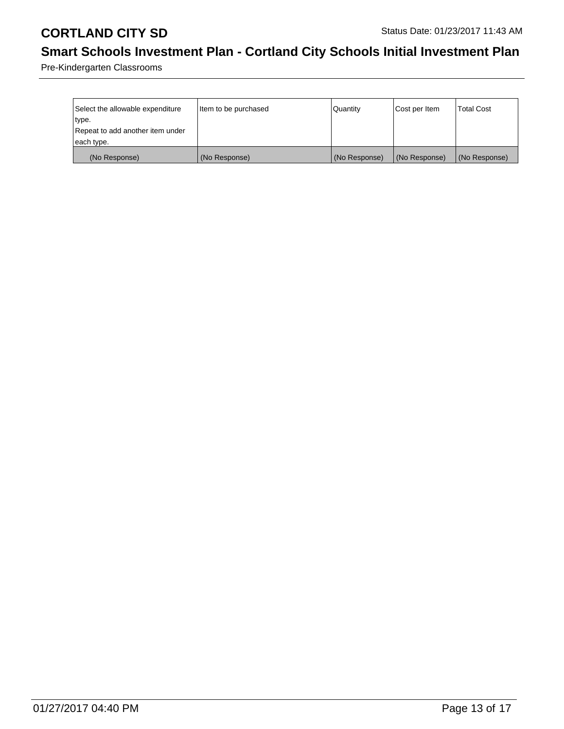# **Smart Schools Investment Plan - Cortland City Schools Initial Investment Plan**

Pre-Kindergarten Classrooms

| Select the allowable expenditure | Item to be purchased | Quantity      | Cost per Item | <b>Total Cost</b> |
|----------------------------------|----------------------|---------------|---------------|-------------------|
| type.                            |                      |               |               |                   |
| Repeat to add another item under |                      |               |               |                   |
| each type.                       |                      |               |               |                   |
| (No Response)                    | (No Response)        | (No Response) | (No Response) | (No Response)     |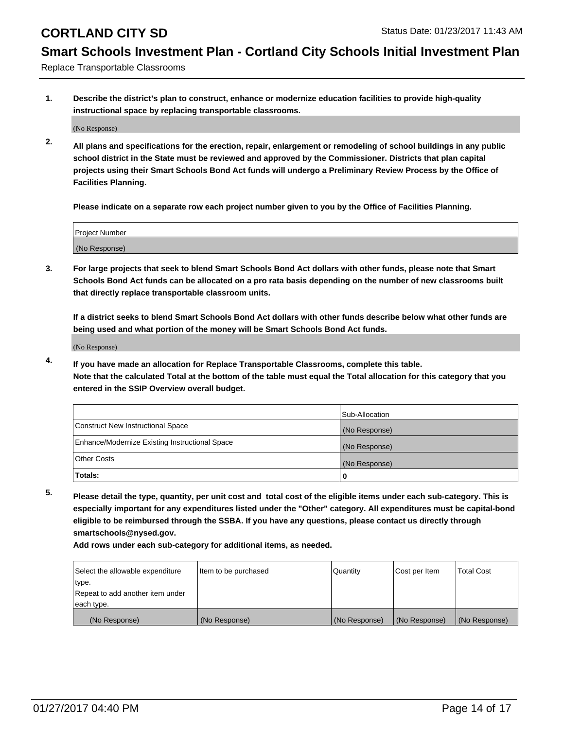#### **Smart Schools Investment Plan - Cortland City Schools Initial Investment Plan**

Replace Transportable Classrooms

**1. Describe the district's plan to construct, enhance or modernize education facilities to provide high-quality instructional space by replacing transportable classrooms.**

(No Response)

**2. All plans and specifications for the erection, repair, enlargement or remodeling of school buildings in any public school district in the State must be reviewed and approved by the Commissioner. Districts that plan capital projects using their Smart Schools Bond Act funds will undergo a Preliminary Review Process by the Office of Facilities Planning.**

**Please indicate on a separate row each project number given to you by the Office of Facilities Planning.**

| Project Number |  |
|----------------|--|
|                |  |
| (No Response)  |  |
|                |  |

**3. For large projects that seek to blend Smart Schools Bond Act dollars with other funds, please note that Smart Schools Bond Act funds can be allocated on a pro rata basis depending on the number of new classrooms built that directly replace transportable classroom units.**

**If a district seeks to blend Smart Schools Bond Act dollars with other funds describe below what other funds are being used and what portion of the money will be Smart Schools Bond Act funds.**

(No Response)

**4. If you have made an allocation for Replace Transportable Classrooms, complete this table. Note that the calculated Total at the bottom of the table must equal the Total allocation for this category that you entered in the SSIP Overview overall budget.**

|                                                | Sub-Allocation |
|------------------------------------------------|----------------|
| Construct New Instructional Space              | (No Response)  |
| Enhance/Modernize Existing Instructional Space | (No Response)  |
| Other Costs                                    | (No Response)  |
| Totals:                                        | 0              |

**5. Please detail the type, quantity, per unit cost and total cost of the eligible items under each sub-category. This is especially important for any expenditures listed under the "Other" category. All expenditures must be capital-bond eligible to be reimbursed through the SSBA. If you have any questions, please contact us directly through smartschools@nysed.gov.**

| Select the allowable expenditure | litem to be purchased | Quantity      | Cost per Item | <b>Total Cost</b> |
|----------------------------------|-----------------------|---------------|---------------|-------------------|
| type.                            |                       |               |               |                   |
| Repeat to add another item under |                       |               |               |                   |
| each type.                       |                       |               |               |                   |
| (No Response)                    | (No Response)         | (No Response) | (No Response) | (No Response)     |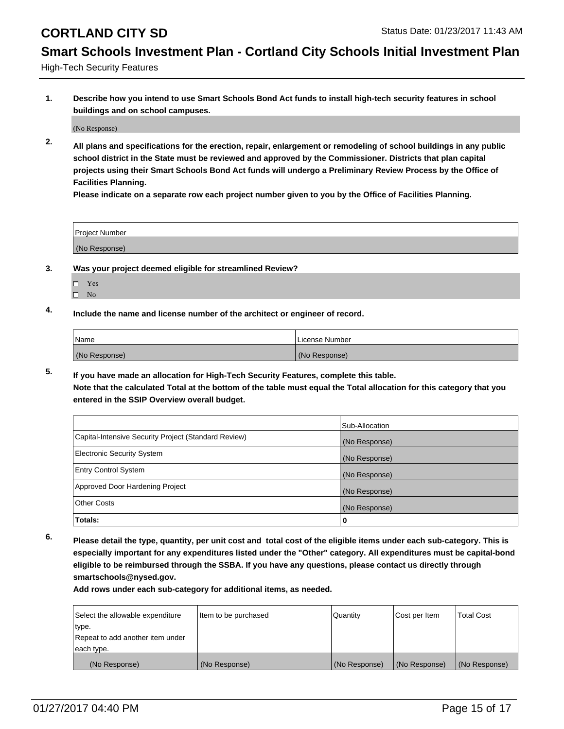## **Smart Schools Investment Plan - Cortland City Schools Initial Investment Plan**

High-Tech Security Features

**1. Describe how you intend to use Smart Schools Bond Act funds to install high-tech security features in school buildings and on school campuses.**

(No Response)

**2. All plans and specifications for the erection, repair, enlargement or remodeling of school buildings in any public school district in the State must be reviewed and approved by the Commissioner. Districts that plan capital projects using their Smart Schools Bond Act funds will undergo a Preliminary Review Process by the Office of Facilities Planning.** 

**Please indicate on a separate row each project number given to you by the Office of Facilities Planning.**

| Project Number |  |
|----------------|--|
| (No Response)  |  |

- **3. Was your project deemed eligible for streamlined Review?**
	- Yes
	- $\square$  No
- **4. Include the name and license number of the architect or engineer of record.**

| <i>Name</i>   | License Number |
|---------------|----------------|
| (No Response) | (No Response)  |

**5. If you have made an allocation for High-Tech Security Features, complete this table. Note that the calculated Total at the bottom of the table must equal the Total allocation for this category that you entered in the SSIP Overview overall budget.**

|                                                      | Sub-Allocation |
|------------------------------------------------------|----------------|
| Capital-Intensive Security Project (Standard Review) | (No Response)  |
| <b>Electronic Security System</b>                    | (No Response)  |
| <b>Entry Control System</b>                          | (No Response)  |
| Approved Door Hardening Project                      | (No Response)  |
| <b>Other Costs</b>                                   | (No Response)  |
| Totals:                                              | 0              |

**6. Please detail the type, quantity, per unit cost and total cost of the eligible items under each sub-category. This is especially important for any expenditures listed under the "Other" category. All expenditures must be capital-bond eligible to be reimbursed through the SSBA. If you have any questions, please contact us directly through smartschools@nysed.gov.**

| Select the allowable expenditure | Item to be purchased | Quantity      | Cost per Item | Total Cost    |
|----------------------------------|----------------------|---------------|---------------|---------------|
| type.                            |                      |               |               |               |
| Repeat to add another item under |                      |               |               |               |
| each type.                       |                      |               |               |               |
| (No Response)                    | (No Response)        | (No Response) | (No Response) | (No Response) |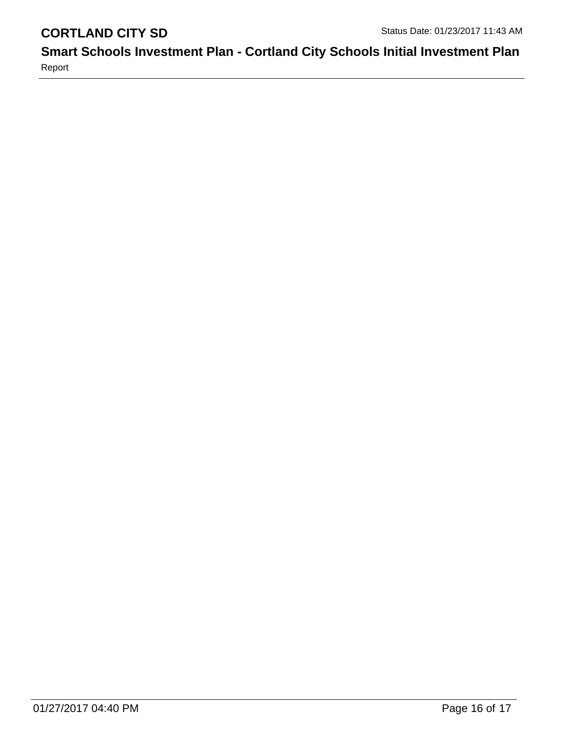**Smart Schools Investment Plan - Cortland City Schools Initial Investment Plan**

Report